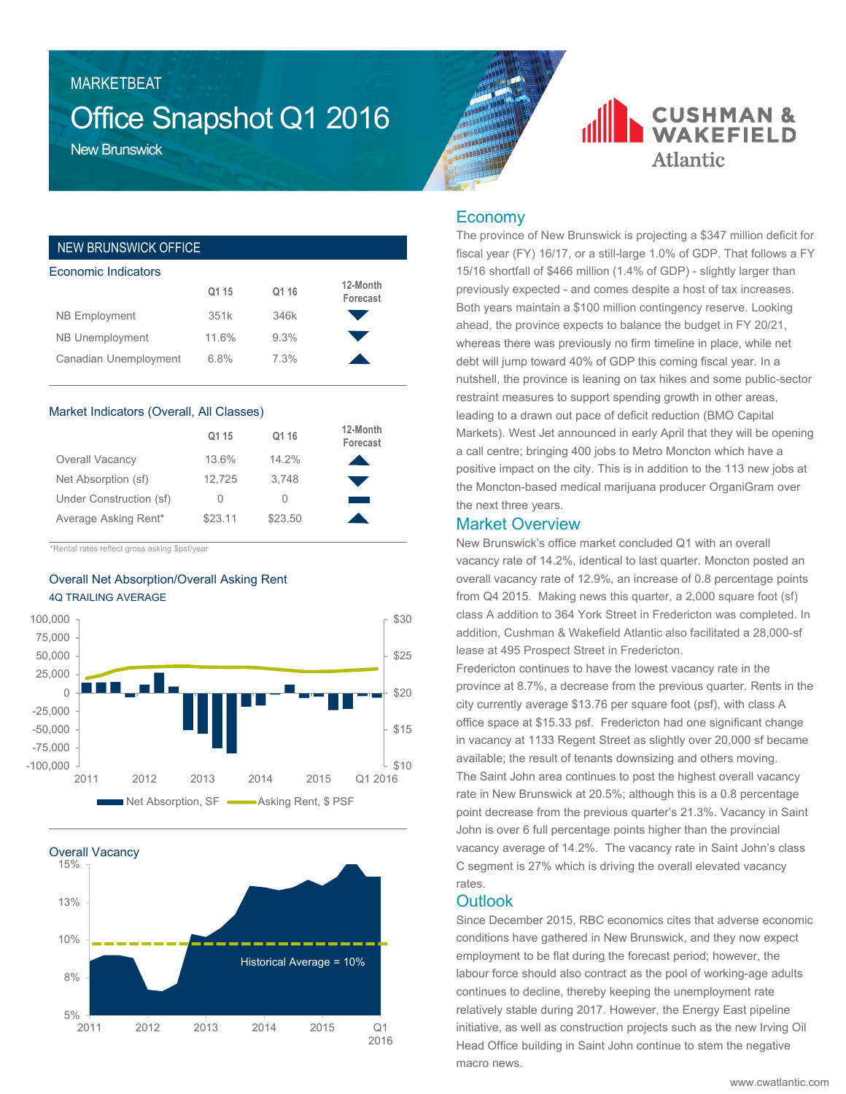#### MARKETBEAT

## Office Snapshot Q1 2016

New Brunswick

| <b>NEW BRUNSWICK OFFICE</b> |       |       |                      |
|-----------------------------|-------|-------|----------------------|
| Economic Indicators         |       |       |                      |
|                             | Q1 15 | Q1 16 | 12-Month<br>Forecast |
| <b>NB Employment</b>        | 351k  | 346k  |                      |
| NB Unemployment             | 11.6% | 9.3%  |                      |
| Canadian Unemployment       | 6.8%  | 7.3%  |                      |

#### Market Indicators (Overall, All Classes)

|                         | Q1 15   | Q1 16   | 12-Month<br>Forecast |
|-------------------------|---------|---------|----------------------|
| Overall Vacancy         | 13.6%   | 14.2%   |                      |
| Net Absorption (sf)     | 12.725  | 3.748   |                      |
| Under Construction (sf) | 0       | $\cup$  |                      |
| Average Asking Rent*    | \$23.11 | \$23.50 |                      |

\*Rental rates reflect gross asking \$psf/year

#### Overall Net Absorption/Overall Asking Rent 4Q TRAILING AVERAGE





### **CUSHMAN & WAKEFIELD Atlantic**

#### Economy

The province of New Brunswick is projecting a \$347 million deficit for fiscal year (FY) 16/17, or a still-large 1.0% of GDP. That follows a FY 15/16 shortfall of \$466 million (1.4% of GDP) - slightly larger than previously expected - and comes despite a host of tax increases. Both years maintain a \$100 million contingency reserve. Looking ahead, the province expects to balance the budget in FY 20/21, whereas there was previously no firm timeline in place, while net debt will jump toward 40% of GDP this coming fiscal year. In a nutshell, the province is leaning on tax hikes and some public-sector restraint measures to support spending growth in other areas, leading to a drawn out pace of deficit reduction (BMO Capital Markets). West Jet announced in early April that they will be opening a call centre; bringing 400 jobs to Metro Moncton which have a positive impact on the city. This is in addition to the 113 new jobs at the Moncton-based medical marijuana producer OrganiGram over the next three years.

#### Market Overview

New Brunswick's office market concluded Q1 with an overall vacancy rate of 14.2%, identical to last quarter. Moncton posted an overall vacancy rate of 12.9%, an increase of 0.8 percentage points from Q4 2015. Making news this quarter, a 2,000 square foot (sf) class A addition to 364 York Street in Fredericton was completed. In addition, Cushman & Wakefield Atlantic also facilitated a 28,000-sf lease at 495 Prospect Street in Fredericton.

Fredericton continues to have the lowest vacancy rate in the province at 8.7%, a decrease from the previous quarter. Rents in the city currently average \$13.76 per square foot (psf), with class A office space at \$15.33 psf. Fredericton had one significant change in vacancy at 1133 Regent Street as slightly over 20,000 sf became available; the result of tenants downsizing and others moving. The Saint John area continues to post the highest overall vacancy rate in New Brunswick at 20.5%; although this is a 0.8 percentage point decrease from the previous quarter's 21.3%. Vacancy in Saint John is over 6 full percentage points higher than the provincial vacancy average of 14.2%. The vacancy rate in Saint John's class C segment is 27% which is driving the overall elevated vacancy rates.

#### **Outlook**

Since December 2015, RBC economics cites that adverse economic conditions have gathered in New Brunswick, and they now expect employment to be flat during the forecast period; however, the labour force should also contract as the pool of working-age adults continues to decline, thereby keeping the unemployment rate relatively stable during 2017. However, the Energy East pipeline initiative, as well as construction projects such as the new Irving Oil Head Office building in Saint John continue to stem the negative macro news.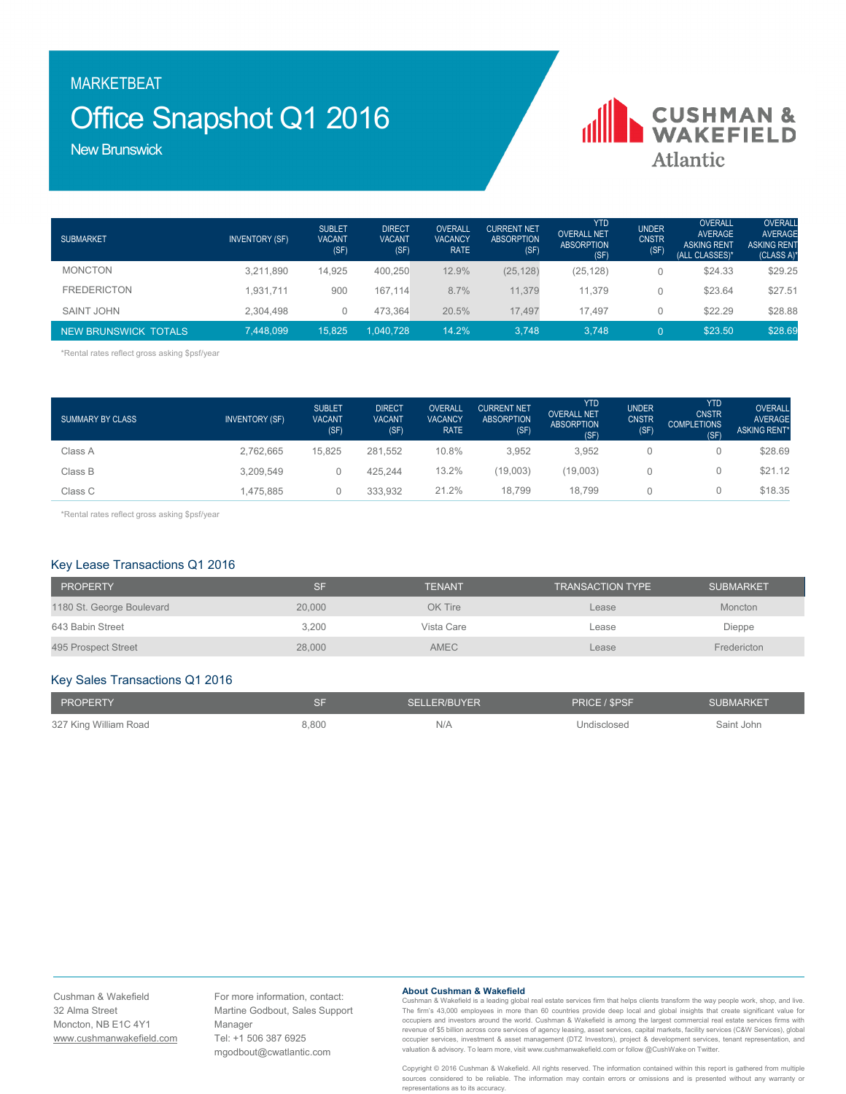MARKETBEAT

## Office Snapshot Q1 2016

**CUSHMAN &**<br>WAKEFIELD **Atlantic** 

New Brunswick

| <b>SUBMARKET</b>     | <b>INVENTORY (SF)</b> | <b>SUBLET</b><br><b>VACANT</b><br>(SF) | <b>DIRECT</b><br><b>VACANT</b><br>(SF) | <b>OVERALL</b><br><b>VACANCY</b><br><b>RATE</b> | <b>CURRENT NET</b><br><b>ABSORPTION</b><br>(SF) | <b>YTD</b><br><b>OVERALL NET</b><br><b>ABSORPTION</b><br>(SF) | <b>UNDER</b><br><b>CNSTR</b><br>(SF) | <b>OVERALL</b><br>AVERAGE<br><b>ASKING RENT</b><br>(ALL CLASSES)* | <b>OVERALL</b><br><b>AVERAGE</b><br><b>ASKING RENT</b><br>$(CLASS A)$ * |
|----------------------|-----------------------|----------------------------------------|----------------------------------------|-------------------------------------------------|-------------------------------------------------|---------------------------------------------------------------|--------------------------------------|-------------------------------------------------------------------|-------------------------------------------------------------------------|
| <b>MONCTON</b>       | 3,211,890             | 14,925                                 | 400.250                                | 12.9%                                           | (25, 128)                                       | (25, 128)                                                     |                                      | \$24.33                                                           | \$29.25                                                                 |
| <b>FREDERICTON</b>   | .931.711              | 900                                    | 167.114                                | 8.7%                                            | 11.379                                          | 11.379                                                        |                                      | \$23.64                                                           | \$27.51                                                                 |
| <b>SAINT JOHN</b>    | 2.304.498             |                                        | 473.364                                | 20.5%                                           | 17.497                                          | 17.497                                                        |                                      | \$22.29                                                           | \$28.88                                                                 |
| NEW BRUNSWICK TOTALS | 7.448.099             | 15.825                                 | 1.040.728                              | 14.2%                                           | 3.748                                           | 3.748                                                         |                                      | \$23.50                                                           | \$28.69                                                                 |

\*Rental rates reflect gross asking \$psf/year

| <b>SUMMARY BY CLASS</b> | <b>INVENTORY (SF)</b> | <b>SUBLET</b><br><b>VACANT</b><br>(SF) | <b>DIRECT</b><br><b>VACANT</b><br>(SF) | <b>OVERALL</b><br><b>VACANCY</b><br><b>RATE</b> | <b>CURRENT NET</b><br><b>ABSORPTION</b><br>(SF) | <b>YTD</b><br><b>OVERALL NET</b><br><b>ABSORPTION</b><br>(SF) | <b>UNDER</b><br><b>CNSTR</b><br>(SF) | <b>YTD</b><br><b>CNSTR</b><br><b>COMPLETIONS</b><br>(SF) | <b>OVERALL</b><br><b>AVERAGE</b><br><b>ASKING RENT*</b> |
|-------------------------|-----------------------|----------------------------------------|----------------------------------------|-------------------------------------------------|-------------------------------------------------|---------------------------------------------------------------|--------------------------------------|----------------------------------------------------------|---------------------------------------------------------|
| Class A                 | 2.762.665             | 15.825                                 | 281.552                                | 10.8%                                           | 3.952                                           | 3.952                                                         |                                      |                                                          | \$28.69                                                 |
| Class B                 | 3.209.549             |                                        | 425.244                                | 13.2%                                           | (19.003)                                        | (19,003)                                                      |                                      |                                                          | \$21.12                                                 |
| Class C                 | 1,475,885             |                                        | 333.932                                | 21.2%                                           | 18.799                                          | 18.799                                                        |                                      |                                                          | \$18.35                                                 |

\*Rental rates reflect gross asking \$psf/year

#### Key Lease Transactions Q1 2016

| <b>PROPERTY</b>           | SF     | <b>TENANT</b> | TRANSACTION TYPE ' | <b>SUBMARKET</b> |
|---------------------------|--------|---------------|--------------------|------------------|
| 1180 St. George Boulevard | 20,000 | OK Tire       | Lease              | <b>Moncton</b>   |
| 643 Babin Street          | 3.200  | Vista Care    | Lease              | Dieppe           |
| 495 Prospect Street       | 28,000 | <b>AMEC</b>   | Lease              | Fredericton      |

#### Key Sales Transactions Q1 2016

| <b>PROPERTY</b>       |       | SELLER/BUYER | PRICE / SPSF | SUBMARKET  |
|-----------------------|-------|--------------|--------------|------------|
| 327 King William Road | 8,800 | N/A          | Undisclosed  | Saint John |

Cushman & Wakefield 32 Alma Street Moncton, NB E1C 4Y1 www.cushmanwakefield.com For more information, contact: Martine Godbout, Sales Support Manager Tel: +1 506 387 6925 mgodbout@cwatlantic.com

#### **About Cushman & Wakefield**

Cushman & Wakefield is a leading global real estate services firm that helps clients transform the way people work, shop, and live.<br>The firm's 43,000 employees in more than 60 countries provide deep local and global insigh occupiers and investors around the world. Cushman & Wakefield is among the largest commercial real estate services firms with revenue of \$5 billion across core services of agency leasing, asset services, capital markets, facility services (C&W Services), global<br>occupier services, investment & asset management (DTZ Investors), project & developmen

Copyright © 2016 Cushman & Wakefield. All rights reserved. The information contained within this report is gathered from multiple sources considered to be reliable. The information may contain errors or omissions and is presented without any warranty or representations as to its accuracy.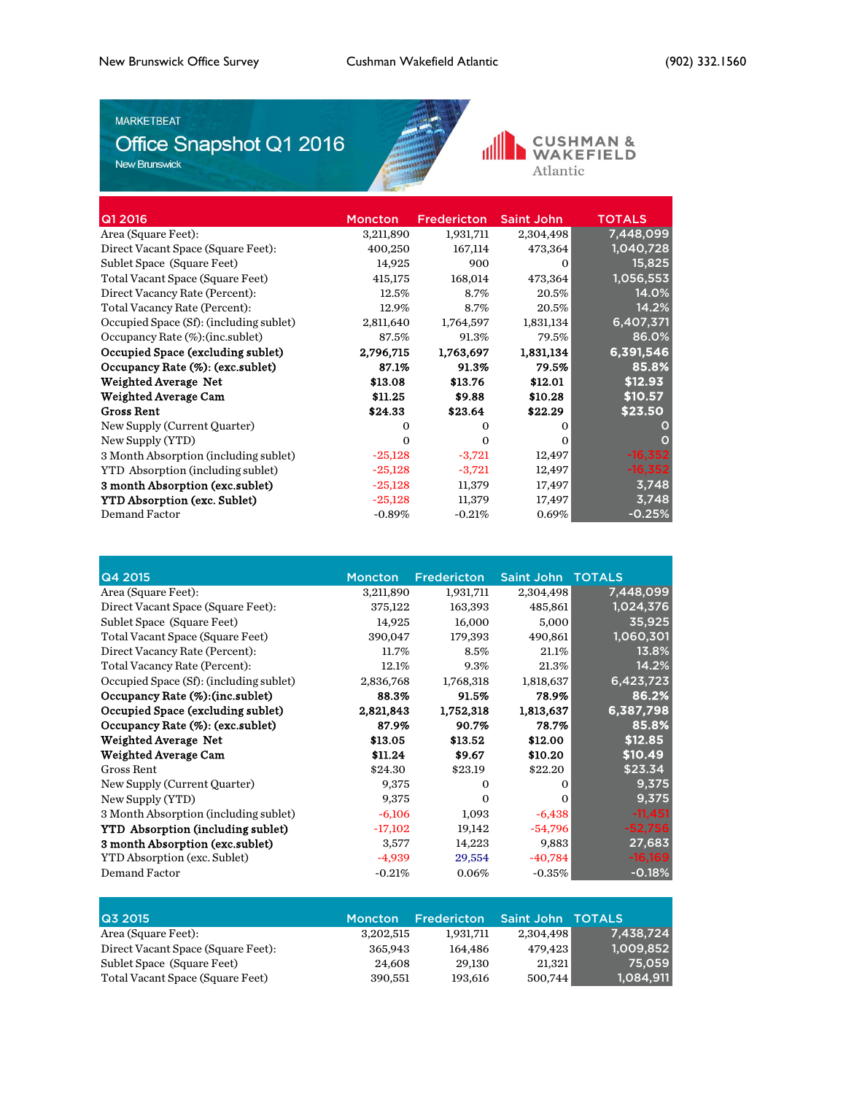#### **MARKETBEAT**

# MARKETBEAT<br>Office Snapshot Q1 2016



CUSHMAN & Atlantic

| <b>Moncton</b> | <b>Fredericton</b> | <b>Saint John</b> | <b>TOTALS</b> |
|----------------|--------------------|-------------------|---------------|
| 3,211,890      | 1,931,711          | 2,304,498         | 7,448,099     |
| 400,250        | 167,114            | 473,364           | 1,040,728     |
| 14,925         | 900                | 0                 | 15,825        |
| 415,175        | 168,014            | 473,364           | 1,056,553     |
| 12.5%          | 8.7%               | 20.5%             | 14.0%         |
| 12.9%          | 8.7%               | 20.5%             | 14.2%         |
| 2,811,640      | 1,764,597          | 1,831,134         | 6,407,371     |
| 87.5%          | 91.3%              | 79.5%             | 86.0%         |
| 2,796,715      | 1,763,697          | 1,831,134         | 6,391,546     |
| 87.1%          | 91.3%              | 79.5%             | 85.8%         |
| \$13.08        | \$13.76            | \$12.01           | \$12.93       |
| \$11.25        | \$9.88             | \$10.28           | \$10.57       |
| \$24.33        | \$23.64            | \$22.29           | \$23.50       |
| 0              | $\Omega$           | $\Omega$          | O             |
| $\Omega$       | $\Omega$           | 0                 | O             |
| $-25,128$      | $-3,721$           | 12,497            | $-16,352$     |
| $-25,128$      | $-3,721$           | 12,497            | $-16,352$     |
| $-25,128$      | 11,379             | 17,497            | 3,748         |
| $-25,128$      | 11,379             | 17,497            | 3,748         |
| $-0.89%$       | $-0.21%$           | 0.69%             | $-0.25%$      |
|                |                    |                   |               |

| Q4 2015                                  | <b>Moncton</b> | <b>Fredericton</b> | Saint John | <b>TOTALS</b> |
|------------------------------------------|----------------|--------------------|------------|---------------|
| Area (Square Feet):                      | 3,211,890      | 1,931,711          | 2,304,498  | 7,448,099     |
| Direct Vacant Space (Square Feet):       | 375,122        | 163,393            | 485,861    | 1,024,376     |
| Sublet Space (Square Feet)               | 14,925         | 16,000             | 5,000      | 35,925        |
| Total Vacant Space (Square Feet)         | 390,047        | 179,393            | 490,861    | 1,060,301     |
| Direct Vacancy Rate (Percent):           | $11.7\%$       | 8.5%               | 21.1%      | 13.8%         |
| Total Vacancy Rate (Percent):            | 12.1%          | 9.3%               | $21.3\%$   | 14.2%         |
| Occupied Space (Sf): (including sublet)  | 2,836,768      | 1,768,318          | 1,818,637  | 6,423,723     |
| Occupancy Rate (%): (inc.sublet)         | 88.3%          | 91.5%              | 78.9%      | 86.2%         |
| Occupied Space (excluding sublet)        | 2,821,843      | 1,752,318          | 1,813,637  | 6,387,798     |
| Occupancy Rate (%): (exc.sublet)         | 87.9%          | 90.7%              | 78.7%      | 85.8%         |
| Weighted Average Net                     | \$13.05        | \$13.52            | \$12.00    | \$12.85       |
| Weighted Average Cam                     | \$11.24        | \$9.67             | \$10.20    | \$10.49       |
| Gross Rent                               | \$24.30        | \$23.19            | \$22.20    | \$23.34       |
| New Supply (Current Quarter)             | 9,375          | $\Omega$           | $\Omega$   | 9,375         |
| New Supply (YTD)                         | 9,375          | $\Omega$           | $\Omega$   | 9,375         |
| 3 Month Absorption (including sublet)    | $-6,106$       | 1,093              | $-6,438$   | $-11,451$     |
| <b>YTD</b> Absorption (including sublet) | $-17,102$      | 19,142             | $-54,796$  | $-52,756$     |
| 3 month Absorption (exc.sublet)          | 3,577          | 14,223             | 9,883      | 27,683        |
| <b>YTD Absorption (exc. Sublet)</b>      | $-4,939$       | 29,554             | $-40,784$  | $-16,169$     |
| Demand Factor                            | $-0.21%$       | 0.06%              | $-0.35\%$  | $-0.18%$      |

| Q3 2015                            | <b>Moncton</b> | <b>Fredericton</b> | Saint John TOTALS |           |
|------------------------------------|----------------|--------------------|-------------------|-----------|
| Area (Square Feet):                | 3,202,515      | 1.931.711          | 2.304.498         | 7.438.724 |
| Direct Vacant Space (Square Feet): | 365.943        | 164.486            | 479.423           | 1.009.852 |
| Sublet Space (Square Feet)         | 24.608         | 29.130             | 21.321            | 75.059    |
| Total Vacant Space (Square Feet)   | 390.551        | 193.616            | 500,744           | 1,084,911 |